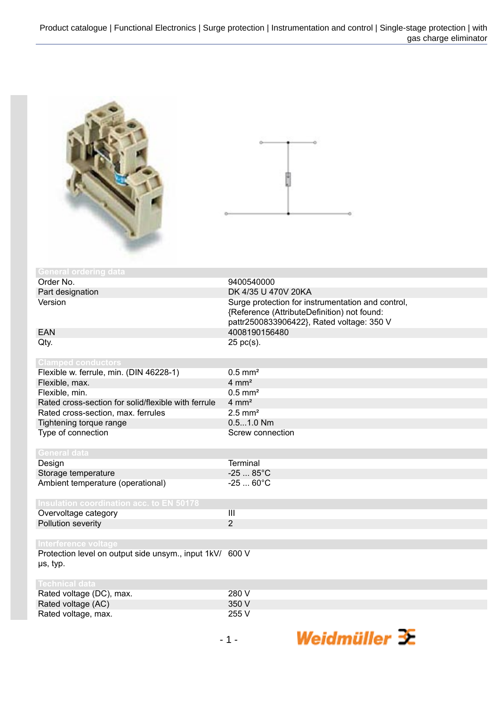

| <b>General ordering data</b>                                                     |                                                   |
|----------------------------------------------------------------------------------|---------------------------------------------------|
| Order No.                                                                        | 9400540000                                        |
| Part designation                                                                 | DK 4/35 U 470V 20KA                               |
| Version                                                                          | Surge protection for instrumentation and control, |
|                                                                                  | {Reference (AttributeDefinition) not found:       |
|                                                                                  | pattr2500833906422}, Rated voltage: 350 V         |
| <b>EAN</b>                                                                       | 4008190156480                                     |
| Qty.                                                                             | $25$ pc(s).                                       |
|                                                                                  |                                                   |
| <b>Clamped conductors</b>                                                        |                                                   |
| Flexible w. ferrule, min. (DIN 46228-1)                                          | $0.5$ mm <sup>2</sup>                             |
| Flexible, max.                                                                   | $4 \, \text{mm}^2$                                |
| Flexible, min.                                                                   | $0.5$ mm <sup>2</sup>                             |
| Rated cross-section for solid/flexible with ferrule                              | $4 \text{ mm}^2$                                  |
| Rated cross-section, max. ferrules                                               | $2.5$ mm <sup>2</sup>                             |
| Tightening torque range                                                          | $0.51.0$ Nm                                       |
| Type of connection                                                               | Screw connection                                  |
|                                                                                  |                                                   |
| <b>General data</b>                                                              |                                                   |
| Design                                                                           | <b>Terminal</b>                                   |
| Storage temperature                                                              | $-2585^{\circ}C$                                  |
| Ambient temperature (operational)                                                | $-2560^{\circ}C$                                  |
|                                                                                  |                                                   |
| <b>Insulation coordination acc. to EN 50178</b>                                  | $\mathbf{III}$                                    |
| Overvoltage category                                                             | $\overline{2}$                                    |
| Pollution severity                                                               |                                                   |
|                                                                                  |                                                   |
| Interference voltage<br>Protection level on output side unsym., input 1kV/ 600 V |                                                   |
|                                                                                  |                                                   |
| µs, typ.                                                                         |                                                   |
| <b>Technical data</b>                                                            |                                                   |
| Rated voltage (DC), max.                                                         | 280 V                                             |
|                                                                                  |                                                   |

| Rated voltage (DC), max. | 280 V |
|--------------------------|-------|
| Rated voltage (AC)       | 350 V |
| Rated voltage, max.      | 255 V |

Weidmüller 3E